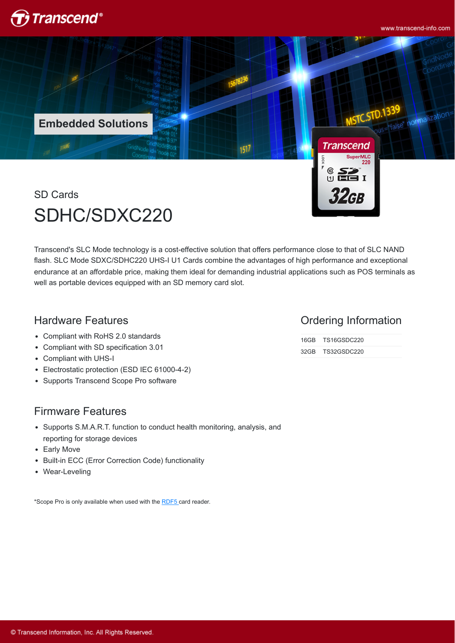

www.transcend-info.com

normalization

**Embedded Solutions**

SD Cards SDHC/SDXC220

Transcend's SLC Mode technology is a cost-effective solution that offers performance close to that of SLC NAND flash. SLC Mode SDXC/SDHC220 UHS-I U1 Cards combine the advantages of high performance and exceptional endurance at an affordable price, making them ideal for demanding industrial applications such as POS terminals as well as portable devices equipped with an SD memory card slot.

1517

## Hardware Features

- Compliant with RoHS 2.0 standards
- Compliant with SD specification 3.01
- Compliant with UHS-I
- Electrostatic protection (ESD IEC 61000-4-2)  $\bullet$
- Supports Transcend Scope Pro software

### Firmware Features

- Supports S.M.A.R.T. function to conduct health monitoring, analysis, and reporting for storage devices
- Early Move
- Built-in ECC (Error Correction Code) functionality
- Wear-Leveling

\*Scope Pro is only available when used with the [RDF5](http://twms.transcend-info.com/Products/No-396) card reader.

#### Ordering Information

16GB TS16GSDC220 32GB TS32GSDC220

**Transcend** 

 $\frac{1}{2}$   $\frac{1}{2}$ 

32GB

SuperMLC